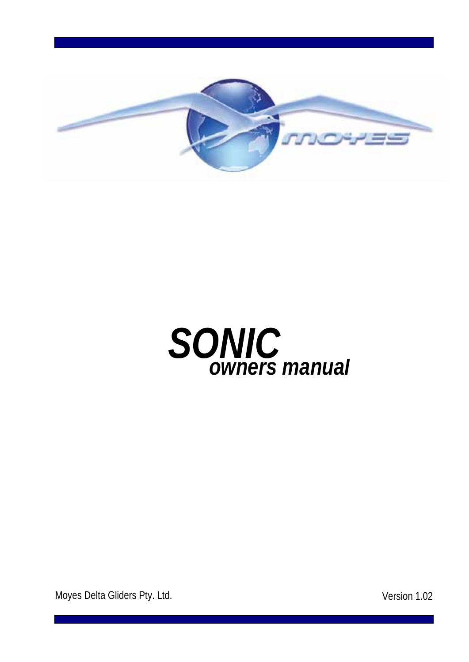



Moyes Delta Gliders Pty. Ltd. **Version 1.02**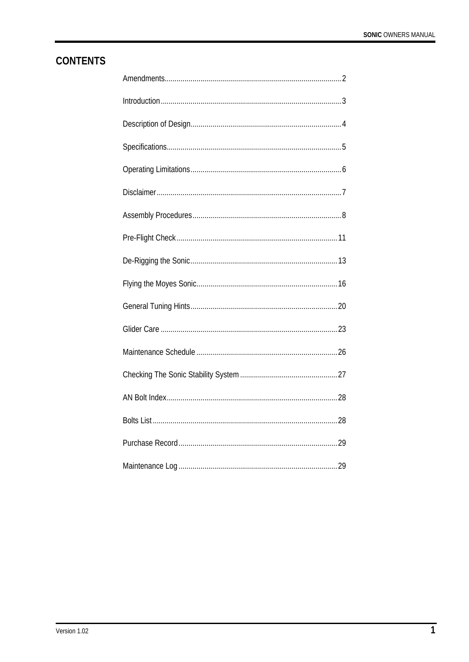# **CONTENTS**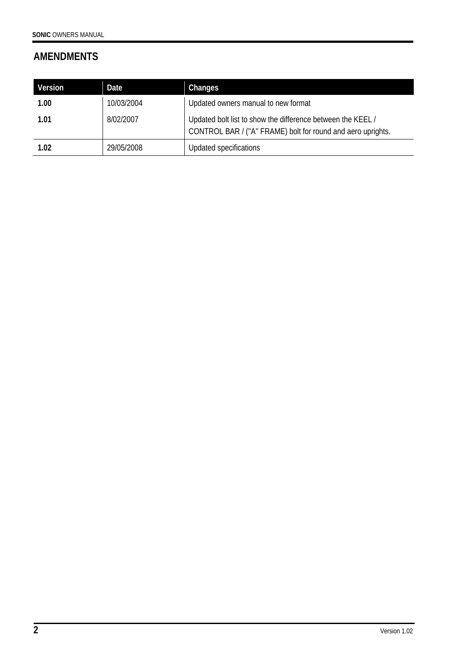# **AMENDMENTS**

| Version | Date       | Changes                                                                                                                    |
|---------|------------|----------------------------------------------------------------------------------------------------------------------------|
| 1.00    | 10/03/2004 | Updated owners manual to new format                                                                                        |
| 1.01    | 8/02/2007  | Updated bolt list to show the difference between the KEEL /<br>CONTROL BAR / ("A" FRAME) bolt for round and aero uprights. |
| 1.02    | 29/05/2008 | Updated specifications                                                                                                     |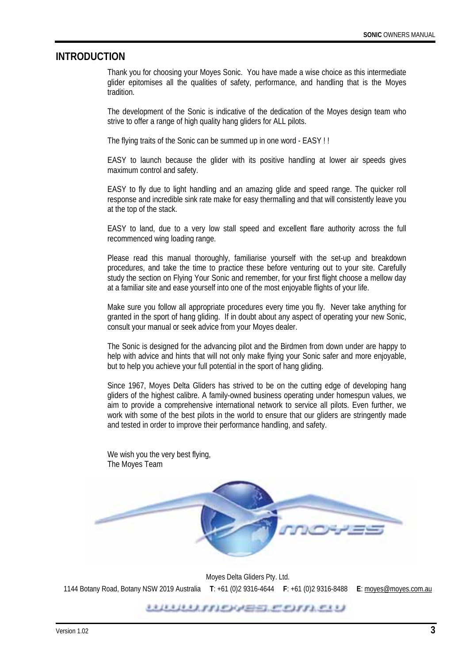#### **INTRODUCTION**

Thank you for choosing your Moyes Sonic. You have made a wise choice as this intermediate glider epitomises all the qualities of safety, performance, and handling that is the Moyes tradition.

The development of the Sonic is indicative of the dedication of the Moyes design team who strive to offer a range of high quality hang gliders for ALL pilots.

The flying traits of the Sonic can be summed up in one word - EASY ! !

EASY to launch because the glider with its positive handling at lower air speeds gives maximum control and safety.

EASY to fly due to light handling and an amazing glide and speed range. The quicker roll response and incredible sink rate make for easy thermalling and that will consistently leave you at the top of the stack.

EASY to land, due to a very low stall speed and excellent flare authority across the full recommenced wing loading range.

Please read this manual thoroughly, familiarise yourself with the set-up and breakdown procedures, and take the time to practice these before venturing out to your site. Carefully study the section on Flying Your Sonic and remember, for your first flight choose a mellow day at a familiar site and ease yourself into one of the most enjoyable flights of your life.

Make sure you follow all appropriate procedures every time you fly. Never take anything for granted in the sport of hang gliding. If in doubt about any aspect of operating your new Sonic, consult your manual or seek advice from your Moyes dealer.

The Sonic is designed for the advancing pilot and the Birdmen from down under are happy to help with advice and hints that will not only make flying your Sonic safer and more enjoyable, but to help you achieve your full potential in the sport of hang gliding.

Since 1967, Moyes Delta Gliders has strived to be on the cutting edge of developing hang gliders of the highest calibre. A family-owned business operating under homespun values, we aim to provide a comprehensive international network to service all pilots. Even further, we work with some of the best pilots in the world to ensure that our gliders are stringently made and tested in order to improve their performance handling, and safety.

We wish you the very best flying, The Moyes Team



Moyes Delta Gliders Pty. Ltd. 1144 Botany Road, Botany NSW 2019 Australia **T**: +61 (0)2 9316-4644 **F**: +61 (0)2 9316-8488 **E**: moyes@moyes.com.au

<u>UUUUNIDAEE COMEU</u>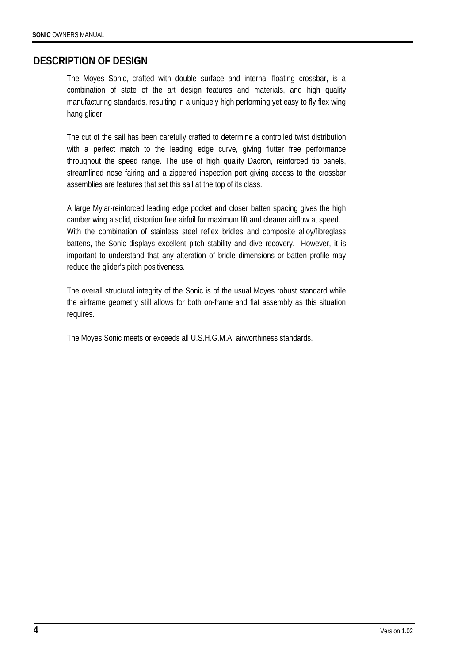### **DESCRIPTION OF DESIGN**

The Moyes Sonic, crafted with double surface and internal floating crossbar, is a combination of state of the art design features and materials, and high quality manufacturing standards, resulting in a uniquely high performing yet easy to fly flex wing hang glider.

The cut of the sail has been carefully crafted to determine a controlled twist distribution with a perfect match to the leading edge curve, giving flutter free performance throughout the speed range. The use of high quality Dacron, reinforced tip panels, streamlined nose fairing and a zippered inspection port giving access to the crossbar assemblies are features that set this sail at the top of its class.

A large Mylar-reinforced leading edge pocket and closer batten spacing gives the high camber wing a solid, distortion free airfoil for maximum lift and cleaner airflow at speed. With the combination of stainless steel reflex bridles and composite alloy/fibreglass battens, the Sonic displays excellent pitch stability and dive recovery. However, it is important to understand that any alteration of bridle dimensions or batten profile may reduce the glider's pitch positiveness.

The overall structural integrity of the Sonic is of the usual Moyes robust standard while the airframe geometry still allows for both on-frame and flat assembly as this situation requires.

The Moyes Sonic meets or exceeds all U.S.H.G.M.A. airworthiness standards.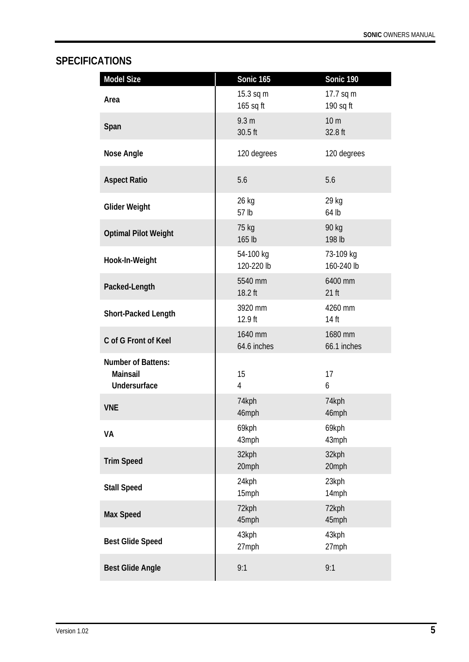# **SPECIFICATIONS**

| <b>Model Size</b>                                            | <b>Sonic 165</b>            | Sonic 190                  |
|--------------------------------------------------------------|-----------------------------|----------------------------|
| Area                                                         | 15.3 sq m<br>165 sq ft      | 17.7 sq m<br>190 sq ft     |
| Span                                                         | 9.3 <sub>m</sub><br>30.5 ft | 10 <sub>m</sub><br>32.8 ft |
| <b>Nose Angle</b>                                            | 120 degrees                 | 120 degrees                |
| <b>Aspect Ratio</b>                                          | 5.6                         | 5.6                        |
| <b>Glider Weight</b>                                         | 26 kg<br>57 lb              | 29 kg<br>64 lb             |
| <b>Optimal Pilot Weight</b>                                  | 75 kg<br>165 lb             | 90 kg<br>198 lb            |
| Hook-In-Weight                                               | 54-100 kg<br>120-220 lb     | 73-109 kg<br>160-240 lb    |
| Packed-Length                                                | 5540 mm<br>18.2 ft          | 6400 mm<br>$21$ ft         |
| Short-Packed Length                                          | 3920 mm<br>12.9 ft          | 4260 mm<br>14 ft           |
| C of G Front of Keel                                         | 1640 mm<br>64.6 inches      | 1680 mm<br>66.1 inches     |
| <b>Number of Battens:</b><br>Mainsail<br><b>Undersurface</b> | 15<br>$\overline{4}$        | 17<br>6                    |
| <b>VNE</b>                                                   | 74kph<br>46mph              | 74kph<br>46mph             |
| VA                                                           | 69kph<br>43mph              | 69kph<br>43mph             |
| <b>Trim Speed</b>                                            | 32kph<br>20mph              | 32kph<br>20mph             |
| <b>Stall Speed</b>                                           | 24kph<br>15mph              | 23kph<br>14mph             |
| <b>Max Speed</b>                                             | 72kph<br>45mph              | 72kph<br>45mph             |
| <b>Best Glide Speed</b>                                      | 43kph<br>27mph              | 43kph<br>27mph             |
| <b>Best Glide Angle</b>                                      | 9:1                         | 9:1                        |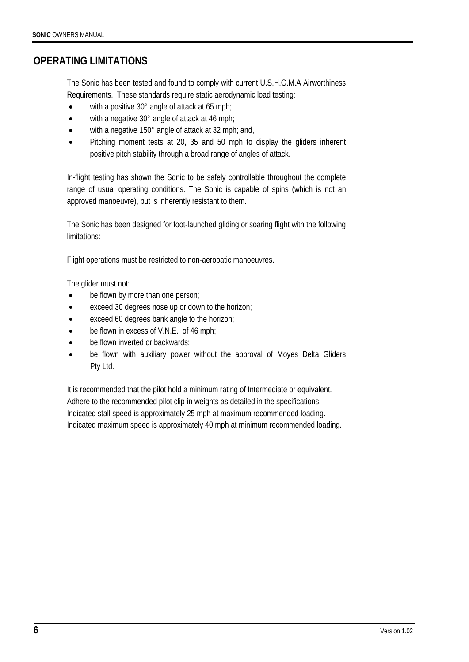## **OPERATING LIMITATIONS**

The Sonic has been tested and found to comply with current U.S.H.G.M.A Airworthiness Requirements. These standards require static aerodynamic load testing:

- with a positive 30° angle of attack at 65 mph;
- with a negative 30° angle of attack at 46 mph;
- with a negative 150° angle of attack at 32 mph; and,
- Pitching moment tests at 20, 35 and 50 mph to display the gliders inherent positive pitch stability through a broad range of angles of attack.

In-flight testing has shown the Sonic to be safely controllable throughout the complete range of usual operating conditions. The Sonic is capable of spins (which is not an approved manoeuvre), but is inherently resistant to them.

The Sonic has been designed for foot-launched gliding or soaring flight with the following limitations:

Flight operations must be restricted to non-aerobatic manoeuvres.

The glider must not:

- be flown by more than one person;
- exceed 30 degrees nose up or down to the horizon;
- exceed 60 degrees bank angle to the horizon;
- be flown in excess of V.N.E. of 46 mph;
- be flown inverted or backwards;
- be flown with auxiliary power without the approval of Moyes Delta Gliders Pty Ltd.

It is recommended that the pilot hold a minimum rating of Intermediate or equivalent. Adhere to the recommended pilot clip-in weights as detailed in the specifications. Indicated stall speed is approximately 25 mph at maximum recommended loading. Indicated maximum speed is approximately 40 mph at minimum recommended loading.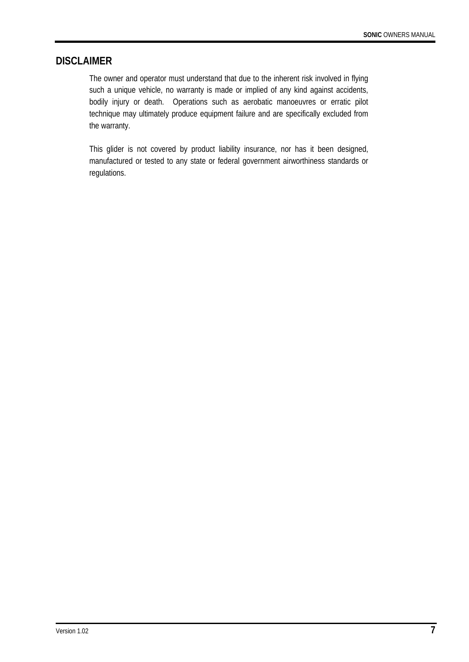#### **DISCLAIMER**

The owner and operator must understand that due to the inherent risk involved in flying such a unique vehicle, no warranty is made or implied of any kind against accidents, bodily injury or death. Operations such as aerobatic manoeuvres or erratic pilot technique may ultimately produce equipment failure and are specifically excluded from the warranty.

This glider is not covered by product liability insurance, nor has it been designed, manufactured or tested to any state or federal government airworthiness standards or regulations.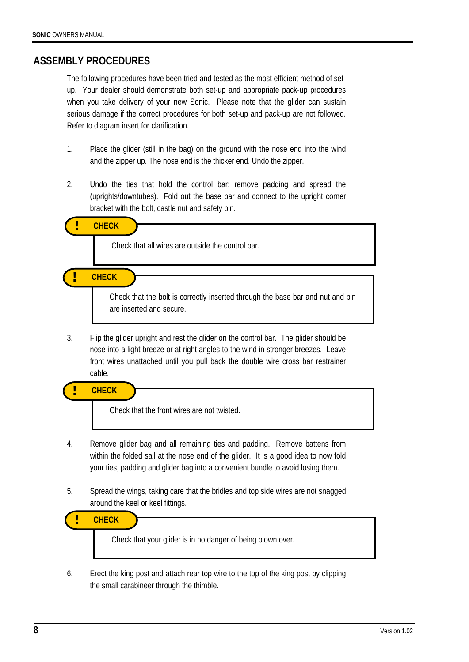#### **ASSEMBLY PROCEDURES**

The following procedures have been tried and tested as the most efficient method of setup. Your dealer should demonstrate both set-up and appropriate pack-up procedures when you take delivery of your new Sonic. Please note that the glider can sustain serious damage if the correct procedures for both set-up and pack-up are not followed. Refer to diagram insert for clarification.

- 1. Place the glider (still in the bag) on the ground with the nose end into the wind and the zipper up. The nose end is the thicker end. Undo the zipper.
- 2. Undo the ties that hold the control bar; remove padding and spread the (uprights/downtubes). Fold out the base bar and connect to the upright corner bracket with the bolt, castle nut and safety pin.

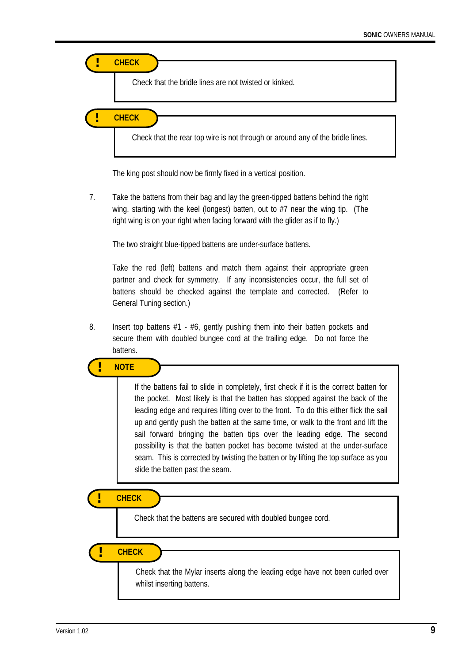

The king post should now be firmly fixed in a vertical position.

7. Take the battens from their bag and lay the green-tipped battens behind the right wing, starting with the keel (longest) batten, out to #7 near the wing tip. (The right wing is on your right when facing forward with the glider as if to fly.)

The two straight blue-tipped battens are under-surface battens.

Take the red (left) battens and match them against their appropriate green partner and check for symmetry. If any inconsistencies occur, the full set of battens should be checked against the template and corrected. (Refer to General Tuning section.)

8. Insert top battens  $#1 - #6$ , gently pushing them into their batten pockets and secure them with doubled bungee cord at the trailing edge. Do not force the battens.

If the battens fail to slide in completely, first check if it is the correct batten for the pocket. Most likely is that the batten has stopped against the back of the leading edge and requires lifting over to the front. To do this either flick the sail up and gently push the batten at the same time, or walk to the front and lift the sail forward bringing the batten tips over the leading edge. The second **! NOTE** 

possibility is that the batten pocket has become twisted at the under-surface seam. This is corrected by twisting the batten or by lifting the top surface as you slide the batten past the seam.

**! CHECK**

í

Check that the battens are secured with doubled bungee cord.

**! CHECK**

Check that the Mylar inserts along the leading edge have not been curled over whilst inserting battens.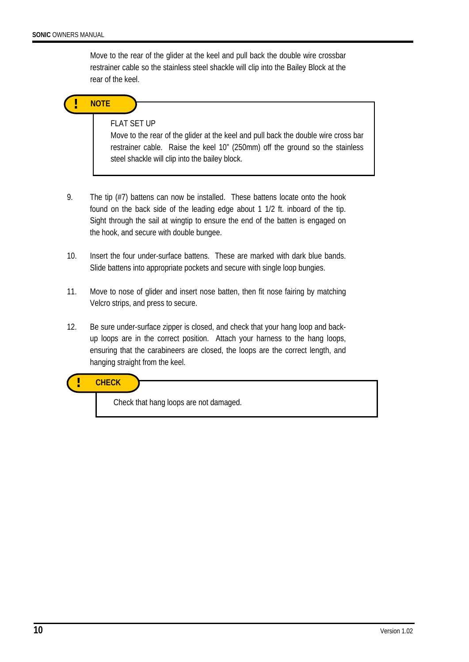Move to the rear of the glider at the keel and pull back the double wire crossbar restrainer cable so the stainless steel shackle will clip into the Bailey Block at the rear of the keel.



#### FLAT SET UP

Move to the rear of the glider at the keel and pull back the double wire cross bar restrainer cable. Raise the keel 10" (250mm) off the ground so the stainless steel shackle will clip into the bailey block.

- 9. The tip (#7) battens can now be installed. These battens locate onto the hook found on the back side of the leading edge about 1 1/2 ft. inboard of the tip. Sight through the sail at wingtip to ensure the end of the batten is engaged on the hook, and secure with double bungee.
- 10. Insert the four under-surface battens. These are marked with dark blue bands. Slide battens into appropriate pockets and secure with single loop bungies.
- 11. Move to nose of glider and insert nose batten, then fit nose fairing by matching Velcro strips, and press to secure.
- 12. Be sure under-surface zipper is closed, and check that your hang loop and backup loops are in the correct position. Attach your harness to the hang loops, ensuring that the carabineers are closed, the loops are the correct length, and hanging straight from the keel.

**! CHECK** 

Check that hang loops are not damaged.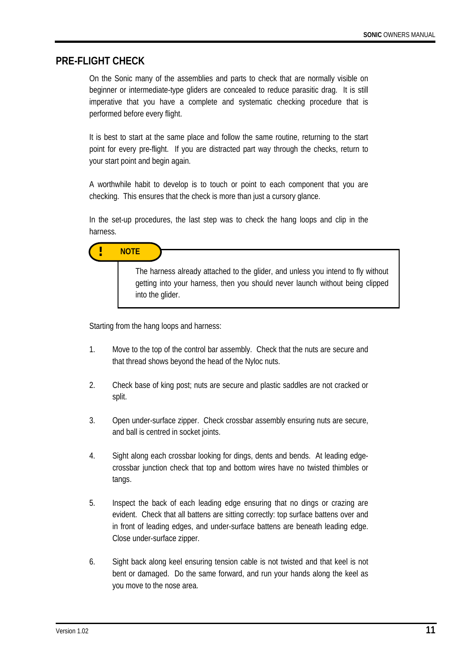#### **PRE-FLIGHT CHECK**

On the Sonic many of the assemblies and parts to check that are normally visible on beginner or intermediate-type gliders are concealed to reduce parasitic drag. It is still imperative that you have a complete and systematic checking procedure that is performed before every flight.

It is best to start at the same place and follow the same routine, returning to the start point for every pre-flight. If you are distracted part way through the checks, return to your start point and begin again.

A worthwhile habit to develop is to touch or point to each component that you are checking. This ensures that the check is more than just a cursory glance.

In the set-up procedures, the last step was to check the hang loops and clip in the harness.



Starting from the hang loops and harness:

into the glider.

- 1. Move to the top of the control bar assembly. Check that the nuts are secure and that thread shows beyond the head of the Nyloc nuts.
- 2. Check base of king post; nuts are secure and plastic saddles are not cracked or split.
- 3. Open under-surface zipper. Check crossbar assembly ensuring nuts are secure, and ball is centred in socket joints.
- 4. Sight along each crossbar looking for dings, dents and bends. At leading edge crossbar junction check that top and bottom wires have no twisted thimbles or tangs.
- 5. Inspect the back of each leading edge ensuring that no dings or crazing are evident. Check that all battens are sitting correctly: top surface battens over and in front of leading edges, and under-surface battens are beneath leading edge. Close under-surface zipper.
- 6. Sight back along keel ensuring tension cable is not twisted and that keel is not bent or damaged. Do the same forward, and run your hands along the keel as you move to the nose area.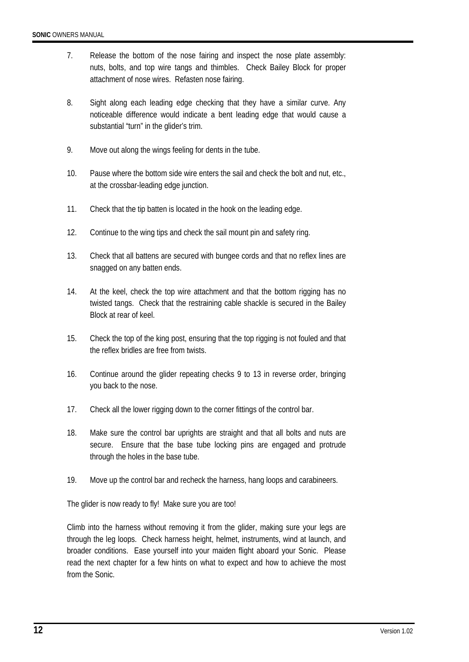- 7. Release the bottom of the nose fairing and inspect the nose plate assembly: nuts, bolts, and top wire tangs and thimbles. Check Bailey Block for proper attachment of nose wires. Refasten nose fairing.
- 8. Sight along each leading edge checking that they have a similar curve. Any noticeable difference would indicate a bent leading edge that would cause a substantial "turn" in the glider's trim.
- 9. Move out along the wings feeling for dents in the tube.
- 10. Pause where the bottom side wire enters the sail and check the bolt and nut, etc., at the crossbar-leading edge junction.
- 11. Check that the tip batten is located in the hook on the leading edge.
- 12. Continue to the wing tips and check the sail mount pin and safety ring.
- 13. Check that all battens are secured with bungee cords and that no reflex lines are snagged on any batten ends.
- 14. At the keel, check the top wire attachment and that the bottom rigging has no twisted tangs. Check that the restraining cable shackle is secured in the Bailey Block at rear of keel.
- 15. Check the top of the king post, ensuring that the top rigging is not fouled and that the reflex bridles are free from twists.
- 16. Continue around the glider repeating checks 9 to 13 in reverse order, bringing you back to the nose.
- 17. Check all the lower rigging down to the corner fittings of the control bar.
- 18. Make sure the control bar uprights are straight and that all bolts and nuts are secure. Ensure that the base tube locking pins are engaged and protrude through the holes in the base tube.
- 19. Move up the control bar and recheck the harness, hang loops and carabineers.

The glider is now ready to fly! Make sure you are too!

Climb into the harness without removing it from the glider, making sure your legs are through the leg loops. Check harness height, helmet, instruments, wind at launch, and broader conditions. Ease yourself into your maiden flight aboard your Sonic. Please read the next chapter for a few hints on what to expect and how to achieve the most from the Sonic.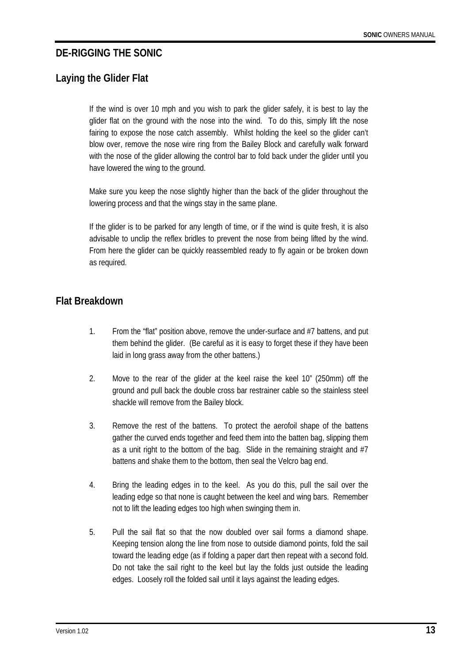## **DE-RIGGING THE SONIC**

# **Laying the Glider Flat**

If the wind is over 10 mph and you wish to park the glider safely, it is best to lay the glider flat on the ground with the nose into the wind. To do this, simply lift the nose fairing to expose the nose catch assembly. Whilst holding the keel so the glider can't blow over, remove the nose wire ring from the Bailey Block and carefully walk forward with the nose of the glider allowing the control bar to fold back under the glider until you have lowered the wing to the ground.

Make sure you keep the nose slightly higher than the back of the glider throughout the lowering process and that the wings stay in the same plane.

If the glider is to be parked for any length of time, or if the wind is quite fresh, it is also advisable to unclip the reflex bridles to prevent the nose from being lifted by the wind. From here the glider can be quickly reassembled ready to fly again or be broken down as required.

### **Flat Breakdown**

- 1. From the "flat" position above, remove the under-surface and #7 battens, and put them behind the glider. (Be careful as it is easy to forget these if they have been laid in long grass away from the other battens.)
- 2. Move to the rear of the glider at the keel raise the keel 10" (250mm) off the ground and pull back the double cross bar restrainer cable so the stainless steel shackle will remove from the Bailey block.
- 3. Remove the rest of the battens. To protect the aerofoil shape of the battens gather the curved ends together and feed them into the batten bag, slipping them as a unit right to the bottom of the bag. Slide in the remaining straight and #7 battens and shake them to the bottom, then seal the Velcro bag end.
- 4. Bring the leading edges in to the keel. As you do this, pull the sail over the leading edge so that none is caught between the keel and wing bars. Remember not to lift the leading edges too high when swinging them in.
- 5. Pull the sail flat so that the now doubled over sail forms a diamond shape. Keeping tension along the line from nose to outside diamond points, fold the sail toward the leading edge (as if folding a paper dart then repeat with a second fold. Do not take the sail right to the keel but lay the folds just outside the leading edges. Loosely roll the folded sail until it lays against the leading edges.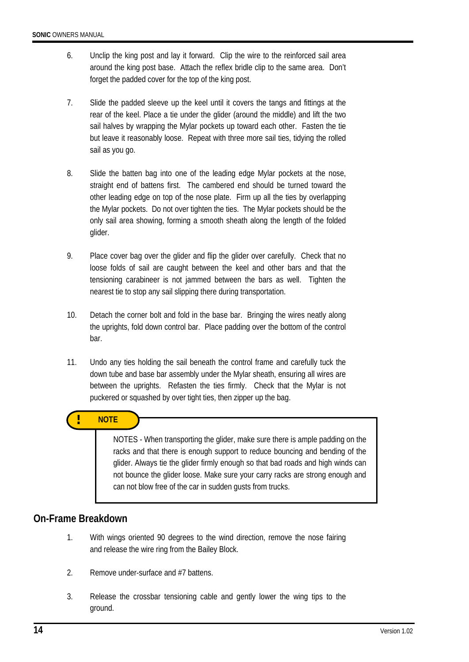- 6. Unclip the king post and lay it forward. Clip the wire to the reinforced sail area around the king post base. Attach the reflex bridle clip to the same area. Don't forget the padded cover for the top of the king post.
- 7. Slide the padded sleeve up the keel until it covers the tangs and fittings at the rear of the keel. Place a tie under the glider (around the middle) and lift the two sail halves by wrapping the Mylar pockets up toward each other. Fasten the tie but leave it reasonably loose. Repeat with three more sail ties, tidying the rolled sail as you go.
- 8. Slide the batten bag into one of the leading edge Mylar pockets at the nose, straight end of battens first. The cambered end should be turned toward the other leading edge on top of the nose plate. Firm up all the ties by overlapping the Mylar pockets. Do not over tighten the ties. The Mylar pockets should be the only sail area showing, forming a smooth sheath along the length of the folded glider.
- 9. Place cover bag over the glider and flip the glider over carefully. Check that no loose folds of sail are caught between the keel and other bars and that the tensioning carabineer is not jammed between the bars as well. Tighten the nearest tie to stop any sail slipping there during transportation.
- 10. Detach the corner bolt and fold in the base bar. Bringing the wires neatly along the uprights, fold down control bar. Place padding over the bottom of the control bar.
- 11. Undo any ties holding the sail beneath the control frame and carefully tuck the down tube and base bar assembly under the Mylar sheath, ensuring all wires are between the uprights. Refasten the ties firmly. Check that the Mylar is not puckered or squashed by over tight ties, then zipper up the bag.

### **! NOTE**

NOTES - When transporting the glider, make sure there is ample padding on the racks and that there is enough support to reduce bouncing and bending of the glider. Always tie the glider firmly enough so that bad roads and high winds can not bounce the glider loose. Make sure your carry racks are strong enough and can not blow free of the car in sudden gusts from trucks.

### **On-Frame Breakdown**

- 1. With wings oriented 90 degrees to the wind direction, remove the nose fairing and release the wire ring from the Bailey Block.
- 2. Remove under-surface and #7 battens.
- 3. Release the crossbar tensioning cable and gently lower the wing tips to the ground.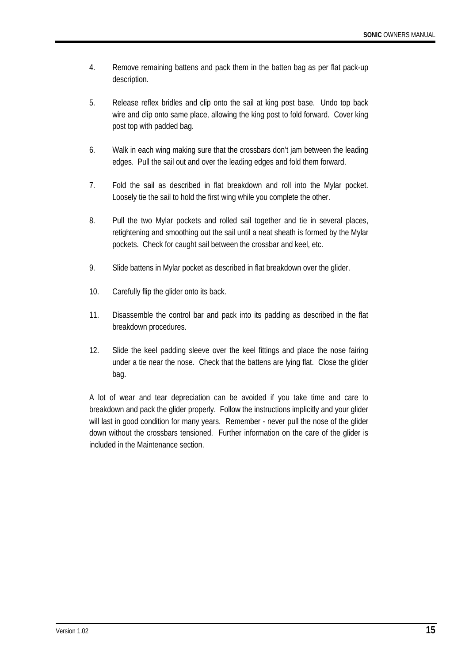- 4. Remove remaining battens and pack them in the batten bag as per flat pack-up description.
- 5. Release reflex bridles and clip onto the sail at king post base. Undo top back wire and clip onto same place, allowing the king post to fold forward. Cover king post top with padded bag.
- 6. Walk in each wing making sure that the crossbars don't jam between the leading edges. Pull the sail out and over the leading edges and fold them forward.
- 7. Fold the sail as described in flat breakdown and roll into the Mylar pocket. Loosely tie the sail to hold the first wing while you complete the other.
- 8. Pull the two Mylar pockets and rolled sail together and tie in several places, retightening and smoothing out the sail until a neat sheath is formed by the Mylar pockets. Check for caught sail between the crossbar and keel, etc.
- 9. Slide battens in Mylar pocket as described in flat breakdown over the glider.
- 10. Carefully flip the glider onto its back.
- 11. Disassemble the control bar and pack into its padding as described in the flat breakdown procedures.
- 12. Slide the keel padding sleeve over the keel fittings and place the nose fairing under a tie near the nose. Check that the battens are lying flat. Close the glider bag.

A lot of wear and tear depreciation can be avoided if you take time and care to breakdown and pack the glider properly. Follow the instructions implicitly and your glider will last in good condition for many years. Remember - never pull the nose of the glider down without the crossbars tensioned. Further information on the care of the glider is included in the Maintenance section.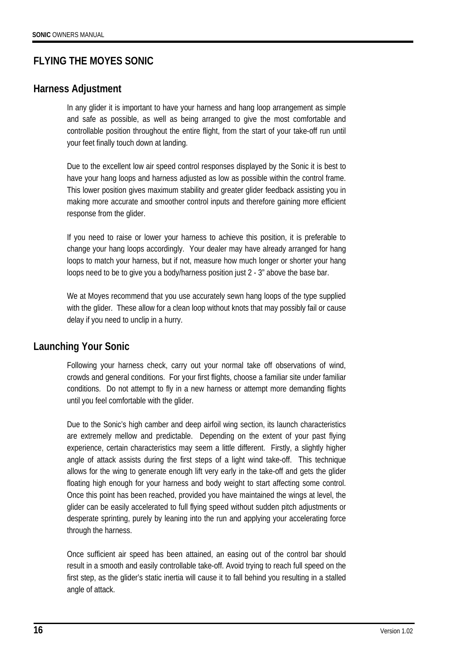# **FLYING THE MOYES SONIC**

### **Harness Adjustment**

In any glider it is important to have your harness and hang loop arrangement as simple and safe as possible, as well as being arranged to give the most comfortable and controllable position throughout the entire flight, from the start of your take-off run until your feet finally touch down at landing.

Due to the excellent low air speed control responses displayed by the Sonic it is best to have your hang loops and harness adjusted as low as possible within the control frame. This lower position gives maximum stability and greater glider feedback assisting you in making more accurate and smoother control inputs and therefore gaining more efficient response from the glider.

If you need to raise or lower your harness to achieve this position, it is preferable to change your hang loops accordingly. Your dealer may have already arranged for hang loops to match your harness, but if not, measure how much longer or shorter your hang loops need to be to give you a body/harness position just 2 - 3" above the base bar.

We at Moyes recommend that you use accurately sewn hang loops of the type supplied with the glider. These allow for a clean loop without knots that may possibly fail or cause delay if you need to unclip in a hurry.

## **Launching Your Sonic**

Following your harness check, carry out your normal take off observations of wind, crowds and general conditions. For your first flights, choose a familiar site under familiar conditions. Do not attempt to fly in a new harness or attempt more demanding flights until you feel comfortable with the glider.

Due to the Sonic's high camber and deep airfoil wing section, its launch characteristics are extremely mellow and predictable. Depending on the extent of your past flying experience, certain characteristics may seem a little different. Firstly, a slightly higher angle of attack assists during the first steps of a light wind take-off. This technique allows for the wing to generate enough lift very early in the take-off and gets the glider floating high enough for your harness and body weight to start affecting some control. Once this point has been reached, provided you have maintained the wings at level, the glider can be easily accelerated to full flying speed without sudden pitch adjustments or desperate sprinting, purely by leaning into the run and applying your accelerating force through the harness.

Once sufficient air speed has been attained, an easing out of the control bar should result in a smooth and easily controllable take-off. Avoid trying to reach full speed on the first step, as the glider's static inertia will cause it to fall behind you resulting in a stalled angle of attack.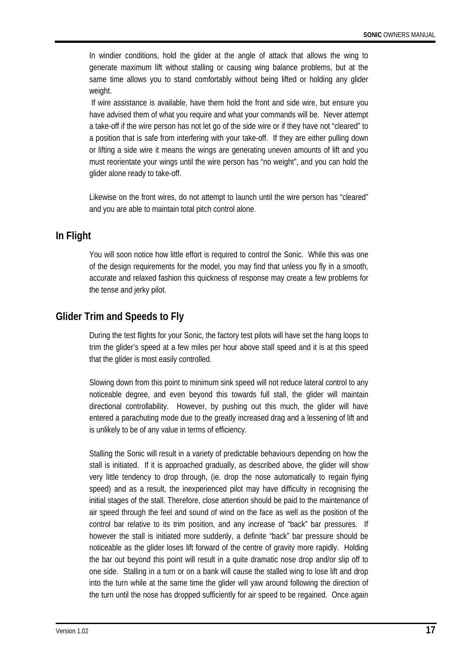In windier conditions, hold the glider at the angle of attack that allows the wing to generate maximum lift without stalling or causing wing balance problems, but at the same time allows you to stand comfortably without being lifted or holding any glider weight.

 If wire assistance is available, have them hold the front and side wire, but ensure you have advised them of what you require and what your commands will be. Never attempt a take-off if the wire person has not let go of the side wire or if they have not "cleared" to a position that is safe from interfering with your take-off. If they are either pulling down or lifting a side wire it means the wings are generating uneven amounts of lift and you must reorientate your wings until the wire person has "no weight", and you can hold the glider alone ready to take-off.

Likewise on the front wires, do not attempt to launch until the wire person has "cleared" and you are able to maintain total pitch control alone.

### **In Flight**

You will soon notice how little effort is required to control the Sonic. While this was one of the design requirements for the model, you may find that unless you fly in a smooth, accurate and relaxed fashion this quickness of response may create a few problems for the tense and jerky pilot.

## **Glider Trim and Speeds to Fly**

During the test flights for your Sonic, the factory test pilots will have set the hang loops to trim the glider's speed at a few miles per hour above stall speed and it is at this speed that the glider is most easily controlled.

Slowing down from this point to minimum sink speed will not reduce lateral control to any noticeable degree, and even beyond this towards full stall, the glider will maintain directional controllability. However, by pushing out this much, the glider will have entered a parachuting mode due to the greatly increased drag and a lessening of lift and is unlikely to be of any value in terms of efficiency.

Stalling the Sonic will result in a variety of predictable behaviours depending on how the stall is initiated. If it is approached gradually, as described above, the glider will show very little tendency to drop through, (ie. drop the nose automatically to regain flying speed) and as a result, the inexperienced pilot may have difficulty in recognising the initial stages of the stall. Therefore, close attention should be paid to the maintenance of air speed through the feel and sound of wind on the face as well as the position of the control bar relative to its trim position, and any increase of "back" bar pressures. If however the stall is initiated more suddenly, a definite "back" bar pressure should be noticeable as the glider loses lift forward of the centre of gravity more rapidly. Holding the bar out beyond this point will result in a quite dramatic nose drop and/or slip off to one side. Stalling in a turn or on a bank will cause the stalled wing to lose lift and drop into the turn while at the same time the glider will yaw around following the direction of the turn until the nose has dropped sufficiently for air speed to be regained. Once again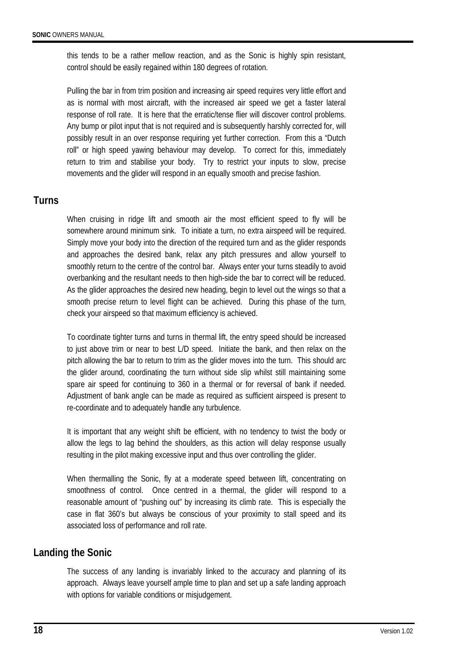this tends to be a rather mellow reaction, and as the Sonic is highly spin resistant, control should be easily regained within 180 degrees of rotation.

Pulling the bar in from trim position and increasing air speed requires very little effort and as is normal with most aircraft, with the increased air speed we get a faster lateral response of roll rate. It is here that the erratic/tense flier will discover control problems. Any bump or pilot input that is not required and is subsequently harshly corrected for, will possibly result in an over response requiring yet further correction. From this a "Dutch roll" or high speed yawing behaviour may develop. To correct for this, immediately return to trim and stabilise your body. Try to restrict your inputs to slow, precise movements and the glider will respond in an equally smooth and precise fashion.

### **Turns**

When cruising in ridge lift and smooth air the most efficient speed to fly will be somewhere around minimum sink. To initiate a turn, no extra airspeed will be required. Simply move your body into the direction of the required turn and as the glider responds and approaches the desired bank, relax any pitch pressures and allow yourself to smoothly return to the centre of the control bar. Always enter your turns steadily to avoid overbanking and the resultant needs to then high-side the bar to correct will be reduced. As the glider approaches the desired new heading, begin to level out the wings so that a smooth precise return to level flight can be achieved. During this phase of the turn, check your airspeed so that maximum efficiency is achieved.

To coordinate tighter turns and turns in thermal lift, the entry speed should be increased to just above trim or near to best L/D speed. Initiate the bank, and then relax on the pitch allowing the bar to return to trim as the glider moves into the turn. This should arc the glider around, coordinating the turn without side slip whilst still maintaining some spare air speed for continuing to 360 in a thermal or for reversal of bank if needed. Adjustment of bank angle can be made as required as sufficient airspeed is present to re-coordinate and to adequately handle any turbulence.

It is important that any weight shift be efficient, with no tendency to twist the body or allow the legs to lag behind the shoulders, as this action will delay response usually resulting in the pilot making excessive input and thus over controlling the glider.

When thermalling the Sonic, fly at a moderate speed between lift, concentrating on smoothness of control. Once centred in a thermal, the glider will respond to a reasonable amount of "pushing out" by increasing its climb rate. This is especially the case in flat 360's but always be conscious of your proximity to stall speed and its associated loss of performance and roll rate.

### **Landing the Sonic**

The success of any landing is invariably linked to the accuracy and planning of its approach. Always leave yourself ample time to plan and set up a safe landing approach with options for variable conditions or misjudgement.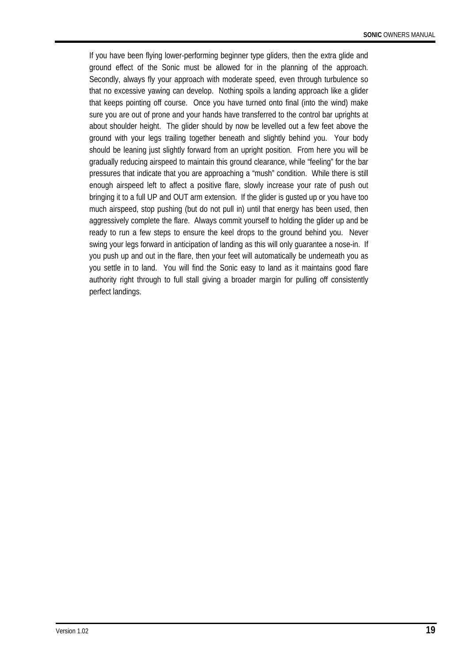If you have been flying lower-performing beginner type gliders, then the extra glide and ground effect of the Sonic must be allowed for in the planning of the approach. Secondly, always fly your approach with moderate speed, even through turbulence so that no excessive yawing can develop. Nothing spoils a landing approach like a glider that keeps pointing off course. Once you have turned onto final (into the wind) make sure you are out of prone and your hands have transferred to the control bar uprights at about shoulder height. The glider should by now be levelled out a few feet above the ground with your legs trailing together beneath and slightly behind you. Your body should be leaning just slightly forward from an upright position. From here you will be gradually reducing airspeed to maintain this ground clearance, while "feeling" for the bar pressures that indicate that you are approaching a "mush" condition. While there is still enough airspeed left to affect a positive flare, slowly increase your rate of push out bringing it to a full UP and OUT arm extension. If the glider is gusted up or you have too much airspeed, stop pushing (but do not pull in) until that energy has been used, then aggressively complete the flare. Always commit yourself to holding the glider up and be ready to run a few steps to ensure the keel drops to the ground behind you. Never swing your legs forward in anticipation of landing as this will only guarantee a nose-in. If you push up and out in the flare, then your feet will automatically be underneath you as you settle in to land. You will find the Sonic easy to land as it maintains good flare authority right through to full stall giving a broader margin for pulling off consistently perfect landings.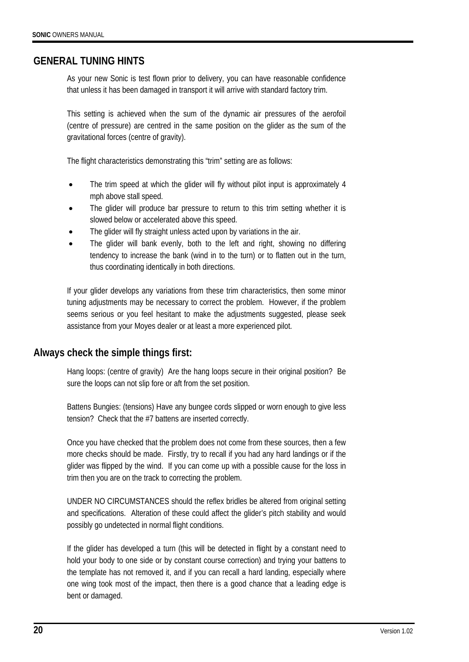### **GENERAL TUNING HINTS**

As your new Sonic is test flown prior to delivery, you can have reasonable confidence that unless it has been damaged in transport it will arrive with standard factory trim.

This setting is achieved when the sum of the dynamic air pressures of the aerofoil (centre of pressure) are centred in the same position on the glider as the sum of the gravitational forces (centre of gravity).

The flight characteristics demonstrating this "trim" setting are as follows:

- The trim speed at which the glider will fly without pilot input is approximately 4 mph above stall speed.
- The glider will produce bar pressure to return to this trim setting whether it is slowed below or accelerated above this speed.
- The glider will fly straight unless acted upon by variations in the air.
- The glider will bank evenly, both to the left and right, showing no differing tendency to increase the bank (wind in to the turn) or to flatten out in the turn, thus coordinating identically in both directions.

If your glider develops any variations from these trim characteristics, then some minor tuning adjustments may be necessary to correct the problem. However, if the problem seems serious or you feel hesitant to make the adjustments suggested, please seek assistance from your Moyes dealer or at least a more experienced pilot.

### **Always check the simple things first:**

Hang loops: (centre of gravity) Are the hang loops secure in their original position? Be sure the loops can not slip fore or aft from the set position.

Battens Bungies: (tensions) Have any bungee cords slipped or worn enough to give less tension? Check that the #7 battens are inserted correctly.

Once you have checked that the problem does not come from these sources, then a few more checks should be made. Firstly, try to recall if you had any hard landings or if the glider was flipped by the wind. If you can come up with a possible cause for the loss in trim then you are on the track to correcting the problem.

UNDER NO CIRCUMSTANCES should the reflex bridles be altered from original setting and specifications. Alteration of these could affect the glider's pitch stability and would possibly go undetected in normal flight conditions.

If the glider has developed a turn (this will be detected in flight by a constant need to hold your body to one side or by constant course correction) and trying your battens to the template has not removed it, and if you can recall a hard landing, especially where one wing took most of the impact, then there is a good chance that a leading edge is bent or damaged.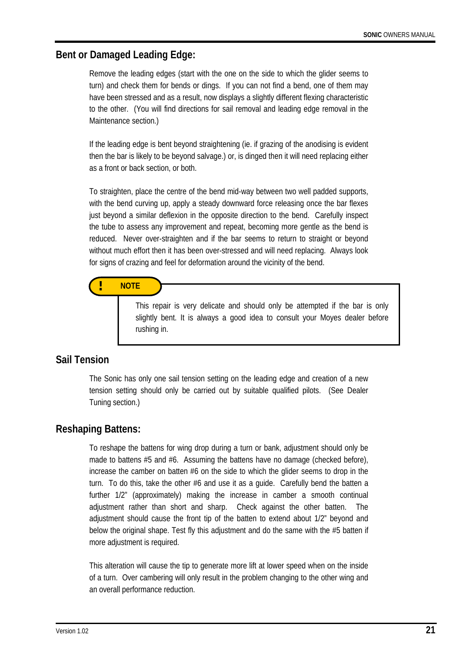### **Bent or Damaged Leading Edge:**

Remove the leading edges (start with the one on the side to which the glider seems to turn) and check them for bends or dings. If you can not find a bend, one of them may have been stressed and as a result, now displays a slightly different flexing characteristic to the other. (You will find directions for sail removal and leading edge removal in the Maintenance section.)

If the leading edge is bent beyond straightening (ie. if grazing of the anodising is evident then the bar is likely to be beyond salvage.) or, is dinged then it will need replacing either as a front or back section, or both.

To straighten, place the centre of the bend mid-way between two well padded supports, with the bend curving up, apply a steady downward force releasing once the bar flexes just beyond a similar deflexion in the opposite direction to the bend. Carefully inspect the tube to assess any improvement and repeat, becoming more gentle as the bend is reduced. Never over-straighten and if the bar seems to return to straight or beyond without much effort then it has been over-stressed and will need replacing. Always look for signs of crazing and feel for deformation around the vicinity of the bend.

### **! NOTE**

This repair is very delicate and should only be attempted if the bar is only slightly bent. It is always a good idea to consult your Moyes dealer before rushing in.

#### **Sail Tension**

The Sonic has only one sail tension setting on the leading edge and creation of a new tension setting should only be carried out by suitable qualified pilots. (See Dealer Tuning section.)

#### **Reshaping Battens:**

To reshape the battens for wing drop during a turn or bank, adjustment should only be made to battens #5 and #6. Assuming the battens have no damage (checked before), increase the camber on batten #6 on the side to which the glider seems to drop in the turn. To do this, take the other #6 and use it as a guide. Carefully bend the batten a further 1/2" (approximately) making the increase in camber a smooth continual adjustment rather than short and sharp. Check against the other batten. adjustment should cause the front tip of the batten to extend about 1/2" beyond and below the original shape. Test fly this adjustment and do the same with the #5 batten if more adjustment is required.

This alteration will cause the tip to generate more lift at lower speed when on the inside of a turn. Over cambering will only result in the problem changing to the other wing and an overall performance reduction.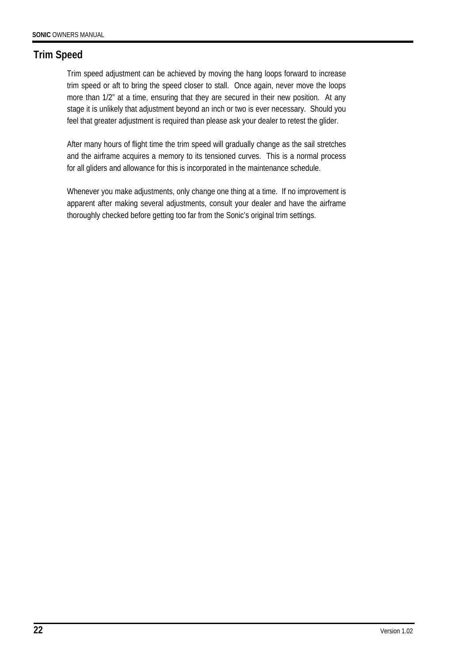# **Trim Speed**

Trim speed adjustment can be achieved by moving the hang loops forward to increase trim speed or aft to bring the speed closer to stall. Once again, never move the loops more than 1/2" at a time, ensuring that they are secured in their new position. At any stage it is unlikely that adjustment beyond an inch or two is ever necessary. Should you feel that greater adjustment is required than please ask your dealer to retest the glider.

After many hours of flight time the trim speed will gradually change as the sail stretches and the airframe acquires a memory to its tensioned curves. This is a normal process for all gliders and allowance for this is incorporated in the maintenance schedule.

Whenever you make adjustments, only change one thing at a time. If no improvement is apparent after making several adjustments, consult your dealer and have the airframe thoroughly checked before getting too far from the Sonic's original trim settings.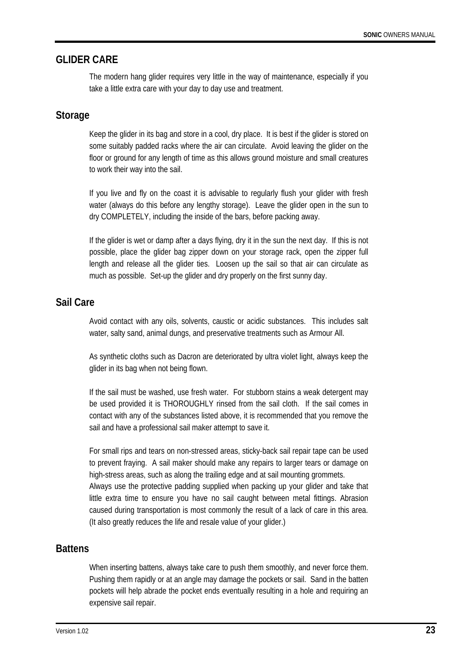### **GLIDER CARE**

The modern hang glider requires very little in the way of maintenance, especially if you take a little extra care with your day to day use and treatment.

#### **Storage**

Keep the glider in its bag and store in a cool, dry place. It is best if the glider is stored on some suitably padded racks where the air can circulate. Avoid leaving the glider on the floor or ground for any length of time as this allows ground moisture and small creatures to work their way into the sail.

If you live and fly on the coast it is advisable to regularly flush your glider with fresh water (always do this before any lengthy storage). Leave the glider open in the sun to dry COMPLETELY, including the inside of the bars, before packing away.

If the glider is wet or damp after a days flying, dry it in the sun the next day. If this is not possible, place the glider bag zipper down on your storage rack, open the zipper full length and release all the glider ties. Loosen up the sail so that air can circulate as much as possible. Set-up the glider and dry properly on the first sunny day.

### **Sail Care**

Avoid contact with any oils, solvents, caustic or acidic substances. This includes salt water, salty sand, animal dungs, and preservative treatments such as Armour All.

As synthetic cloths such as Dacron are deteriorated by ultra violet light, always keep the glider in its bag when not being flown.

If the sail must be washed, use fresh water. For stubborn stains a weak detergent may be used provided it is THOROUGHLY rinsed from the sail cloth. If the sail comes in contact with any of the substances listed above, it is recommended that you remove the sail and have a professional sail maker attempt to save it.

For small rips and tears on non-stressed areas, sticky-back sail repair tape can be used to prevent fraying. A sail maker should make any repairs to larger tears or damage on high-stress areas, such as along the trailing edge and at sail mounting grommets. Always use the protective padding supplied when packing up your glider and take that

little extra time to ensure you have no sail caught between metal fittings. Abrasion caused during transportation is most commonly the result of a lack of care in this area. (It also greatly reduces the life and resale value of your glider.)

## **Battens**

When inserting battens, always take care to push them smoothly, and never force them. Pushing them rapidly or at an angle may damage the pockets or sail. Sand in the batten pockets will help abrade the pocket ends eventually resulting in a hole and requiring an expensive sail repair.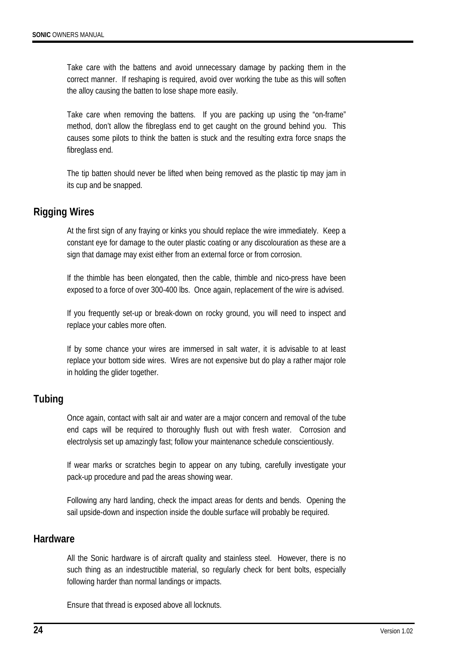Take care with the battens and avoid unnecessary damage by packing them in the correct manner. If reshaping is required, avoid over working the tube as this will soften the alloy causing the batten to lose shape more easily.

Take care when removing the battens. If you are packing up using the "on-frame" method, don't allow the fibreglass end to get caught on the ground behind you. This causes some pilots to think the batten is stuck and the resulting extra force snaps the fibreglass end.

The tip batten should never be lifted when being removed as the plastic tip may jam in its cup and be snapped.

### **Rigging Wires**

At the first sign of any fraying or kinks you should replace the wire immediately. Keep a constant eye for damage to the outer plastic coating or any discolouration as these are a sign that damage may exist either from an external force or from corrosion.

If the thimble has been elongated, then the cable, thimble and nico-press have been exposed to a force of over 300-400 lbs. Once again, replacement of the wire is advised.

If you frequently set-up or break-down on rocky ground, you will need to inspect and replace your cables more often.

If by some chance your wires are immersed in salt water, it is advisable to at least replace your bottom side wires. Wires are not expensive but do play a rather major role in holding the glider together.

### **Tubing**

Once again, contact with salt air and water are a major concern and removal of the tube end caps will be required to thoroughly flush out with fresh water. Corrosion and electrolysis set up amazingly fast; follow your maintenance schedule conscientiously.

If wear marks or scratches begin to appear on any tubing, carefully investigate your pack-up procedure and pad the areas showing wear.

Following any hard landing, check the impact areas for dents and bends. Opening the sail upside-down and inspection inside the double surface will probably be required.

#### **Hardware**

All the Sonic hardware is of aircraft quality and stainless steel. However, there is no such thing as an indestructible material, so regularly check for bent bolts, especially following harder than normal landings or impacts.

Ensure that thread is exposed above all locknuts.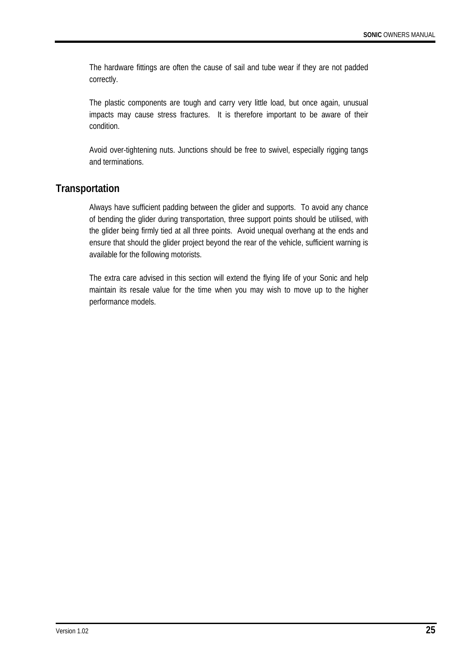The hardware fittings are often the cause of sail and tube wear if they are not padded correctly.

The plastic components are tough and carry very little load, but once again, unusual impacts may cause stress fractures. It is therefore important to be aware of their condition.

Avoid over-tightening nuts. Junctions should be free to swivel, especially rigging tangs and terminations.

### **Transportation**

Always have sufficient padding between the glider and supports. To avoid any chance of bending the glider during transportation, three support points should be utilised, with the glider being firmly tied at all three points. Avoid unequal overhang at the ends and ensure that should the glider project beyond the rear of the vehicle, sufficient warning is available for the following motorists.

The extra care advised in this section will extend the flying life of your Sonic and help maintain its resale value for the time when you may wish to move up to the higher performance models.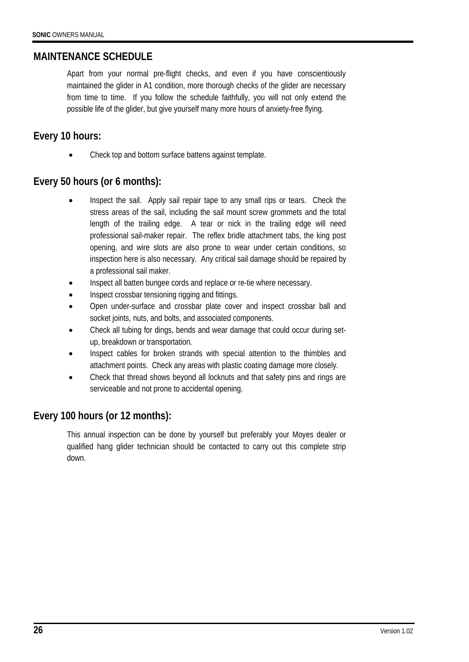## **MAINTENANCE SCHEDULE**

Apart from your normal pre-flight checks, and even if you have conscientiously maintained the glider in A1 condition, more thorough checks of the glider are necessary from time to time. If you follow the schedule faithfully, you will not only extend the possible life of the glider, but give yourself many more hours of anxiety-free flying.

## **Every 10 hours:**

• Check top and bottom surface battens against template.

## **Every 50 hours (or 6 months):**

- Inspect the sail. Apply sail repair tape to any small rips or tears. Check the stress areas of the sail, including the sail mount screw grommets and the total length of the trailing edge. A tear or nick in the trailing edge will need professional sail-maker repair. The reflex bridle attachment tabs, the king post opening, and wire slots are also prone to wear under certain conditions, so inspection here is also necessary. Any critical sail damage should be repaired by a professional sail maker.
- Inspect all batten bungee cords and replace or re-tie where necessary.
- Inspect crossbar tensioning rigging and fittings.
- Open under-surface and crossbar plate cover and inspect crossbar ball and socket joints, nuts, and bolts, and associated components.
- Check all tubing for dings, bends and wear damage that could occur during setup, breakdown or transportation.
- Inspect cables for broken strands with special attention to the thimbles and attachment points. Check any areas with plastic coating damage more closely.
- Check that thread shows beyond all locknuts and that safety pins and rings are serviceable and not prone to accidental opening.

## **Every 100 hours (or 12 months):**

This annual inspection can be done by yourself but preferably your Moyes dealer or qualified hang glider technician should be contacted to carry out this complete strip down.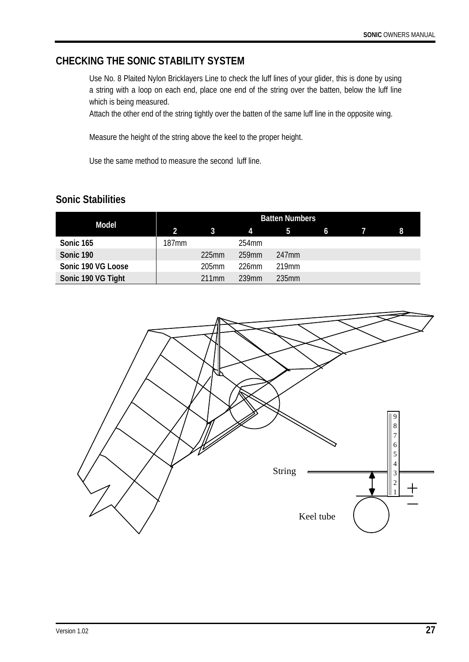## **CHECKING THE SONIC STABILITY SYSTEM**

Use No. 8 Plaited Nylon Bricklayers Line to check the luff lines of your glider, this is done by using a string with a loop on each end, place one end of the string over the batten, below the luff line which is being measured.

Attach the other end of the string tightly over the batten of the same luff line in the opposite wing.

Measure the height of the string above the keel to the proper height.

Use the same method to measure the second luff line.

# **Sonic Stabilities**

| Model              | <b>Batten Numbers</b> |          |          |                   |    |  |   |
|--------------------|-----------------------|----------|----------|-------------------|----|--|---|
|                    | $\overline{2}$        | 37       | 4        | -5                | -6 |  | 8 |
| Sonic 165          | 187 <sub>mm</sub>     |          | 254mm    |                   |    |  |   |
| Sonic 190          |                       | $225$ mm | 259mm    | 247 <sub>mm</sub> |    |  |   |
| Sonic 190 VG Loose |                       | 205mm    | $226$ mm | 219 <sub>mm</sub> |    |  |   |
| Sonic 190 VG Tight |                       | 211mm    | 239mm    | 235mm             |    |  |   |

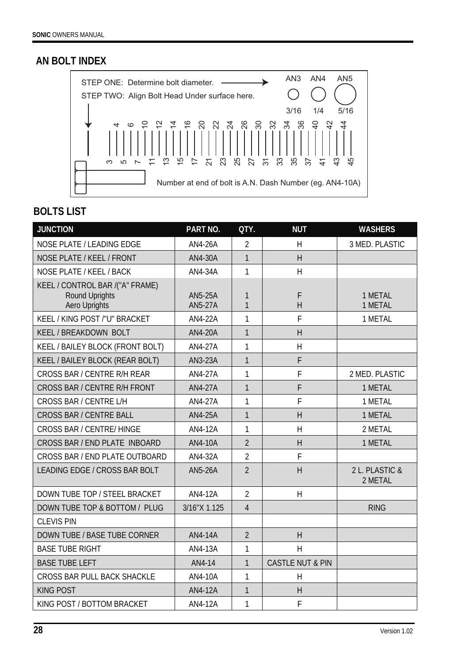# **AN BOLT INDEX**



# **BOLTS LIST**

| <b>JUNCTION</b>                                                                  | PART NO.                         | QTY.           | <b>NUT</b>                  | <b>WASHERS</b>            |
|----------------------------------------------------------------------------------|----------------------------------|----------------|-----------------------------|---------------------------|
| NOSE PLATE / LEADING EDGE                                                        | AN4-26A                          | $\overline{2}$ | H                           | 3 MED. PLASTIC            |
| NOSE PLATE / KEEL / FRONT                                                        | AN4-30A                          | $\mathbf{1}$   | H                           |                           |
| NOSE PLATE / KEEL / BACK                                                         | AN4-34A                          | 1              | H                           |                           |
| KEEL / CONTROL BAR /("A" FRAME)<br><b>Round Uprights</b><br><b>Aero Uprights</b> | <b>AN5-25A</b><br><b>AN5-27A</b> | 1<br>1         | F<br>H                      | 1 METAL<br>1 METAL        |
| KEEL / KING POST /"U" BRACKET                                                    | AN4-22A                          | 1              | F                           | 1 METAL                   |
| KEEL / BREAKDOWN BOLT                                                            | <b>AN4-20A</b>                   | $\mathbf{1}$   | H                           |                           |
| KEEL / BAILEY BLOCK (FRONT BOLT)                                                 | AN4-27A                          | 1              | H                           |                           |
| KEEL / BAILEY BLOCK (REAR BOLT)                                                  | AN3-23A                          | $\mathbf{1}$   | F                           |                           |
| CROSS BAR / CENTRE R/H REAR                                                      | AN4-27A                          | 1              | F                           | 2 MED. PLASTIC            |
| CROSS BAR / CENTRE R/H FRONT                                                     | <b>AN4-27A</b>                   | $\mathbf{1}$   | F                           | 1 METAL                   |
| CROSS BAR / CENTRE L/H                                                           | AN4-27A                          | $\mathbf{1}$   | F                           | 1 METAL                   |
| <b>CROSS BAR / CENTRE BALL</b>                                                   | AN4-25A                          | $\mathbf{1}$   | H                           | 1 METAL                   |
| <b>CROSS BAR / CENTRE/ HINGE</b>                                                 | AN4-12A                          | 1              | H                           | 2 METAL                   |
| CROSS BAR / END PLATE INBOARD                                                    | <b>AN4-10A</b>                   | $\overline{2}$ | H                           | 1 METAL                   |
| CROSS BAR / END PLATE OUTBOARD                                                   | AN4-32A                          | $\overline{2}$ | F                           |                           |
| LEADING EDGE / CROSS BAR BOLT                                                    | <b>AN5-26A</b>                   | $\overline{2}$ | H                           | 2 L. PLASTIC &<br>2 METAL |
| DOWN TUBE TOP / STEEL BRACKET                                                    | AN4-12A                          | $\overline{2}$ | H                           |                           |
| DOWN TUBE TOP & BOTTOM / PLUG                                                    | 3/16"X 1.125                     | $\overline{4}$ |                             | <b>RING</b>               |
| <b>CLEVIS PIN</b>                                                                |                                  |                |                             |                           |
| DOWN TUBE / BASE TUBE CORNER                                                     | AN4-14A                          | $\overline{2}$ | H                           |                           |
| <b>BASE TUBE RIGHT</b>                                                           | AN4-13A                          | 1              | H                           |                           |
| <b>BASE TUBE LEFT</b>                                                            | AN4-14                           | $\mathbf{1}$   | <b>CASTLE NUT &amp; PIN</b> |                           |
| CROSS BAR PULL BACK SHACKLE                                                      | AN4-10A                          | 1              | H                           |                           |
| <b>KING POST</b>                                                                 | AN4-12A                          | $\mathbf{1}$   | H                           |                           |
| KING POST / BOTTOM BRACKET                                                       | AN4-12A                          | 1              | F                           |                           |